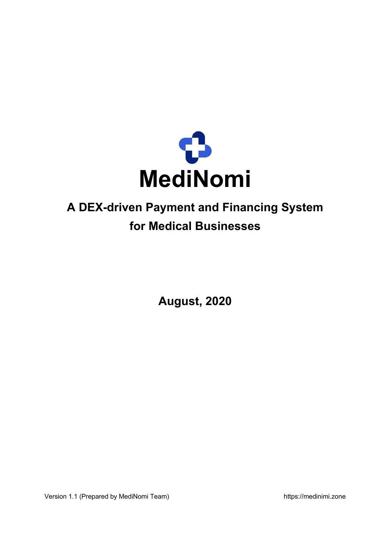

## **A DEX-driven Payment and Financing System for Medical Businesses**

**August, 2020**

Version 1.1 (Prepared by MediNomi Team) and the state of the https://medinimi.zone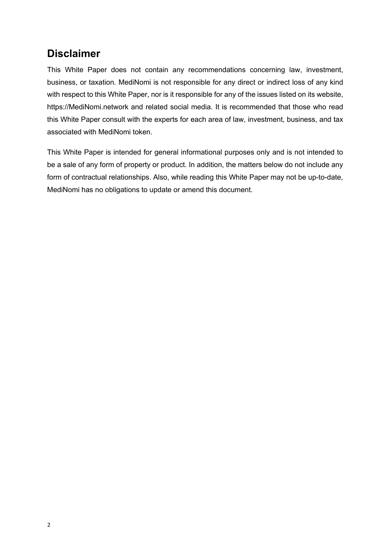#### **Disclaimer**

This White Paper does not contain any recommendations concerning law, investment, business, or taxation. MediNomi is not responsible for any direct or indirect loss of any kind with respect to this White Paper, nor is it responsible for any of the issues listed on its website, https://MediNomi.network and related social media. It is recommended that those who read this White Paper consult with the experts for each area of law, investment, business, and tax associated with MediNomi token.

This White Paper is intended for general informational purposes only and is not intended to be a sale of any form of property or product. In addition, the matters below do not include any form of contractual relationships. Also, while reading this White Paper may not be up-to-date, MediNomi has no obligations to update or amend this document.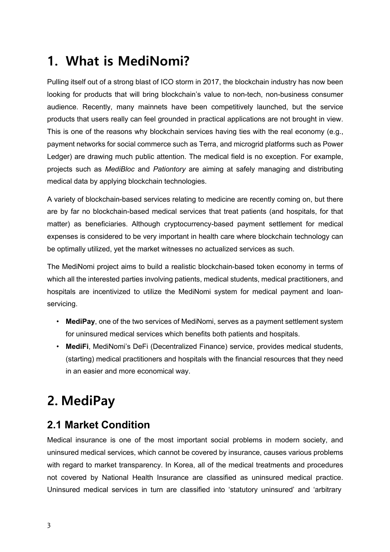# **1. What is MediNomi?**

Pulling itself out of a strong blast of ICO storm in 2017, the blockchain industry has now been looking for products that will bring blockchain's value to non-tech, non-business consumer audience. Recently, many mainnets have been competitively launched, but the service products that users really can feel grounded in practical applications are not brought in view. This is one of the reasons why blockchain services having ties with the real economy (e.g., payment networks for social commerce such as Terra, and microgrid platforms such as Power Ledger) are drawing much public attention. The medical field is no exception. For example, projects such as *MediBloc* and *Pationtory* are aiming at safely managing and distributing medical data by applying blockchain technologies.

A variety of blockchain-based services relating to medicine are recently coming on, but there are by far no blockchain-based medical services that treat patients (and hospitals, for that matter) as beneficiaries. Although cryptocurrency-based payment settlement for medical expenses is considered to be very important in health care where blockchain technology can be optimally utilized, yet the market witnesses no actualized services as such.

The MediNomi project aims to build a realistic blockchain-based token economy in terms of which all the interested parties involving patients, medical students, medical practitioners, and hospitals are incentivized to utilize the MediNomi system for medical payment and loanservicing.

- **MediPay**, one of the two services of MediNomi, serves as a payment settlement system for uninsured medical services which benefits both patients and hospitals.
- **MediFi**, MediNomi's DeFi (Decentralized Finance) service, provides medical students, (starting) medical practitioners and hospitals with the financial resources that they need in an easier and more economical way.

# **2. MediPay**

### **2.1 Market Condition**

Medical insurance is one of the most important social problems in modern society, and uninsured medical services, which cannot be covered by insurance, causes various problems with regard to market transparency. In Korea, all of the medical treatments and procedures not covered by National Health Insurance are classified as uninsured medical practice. Uninsured medical services in turn are classified into 'statutory uninsured' and 'arbitrary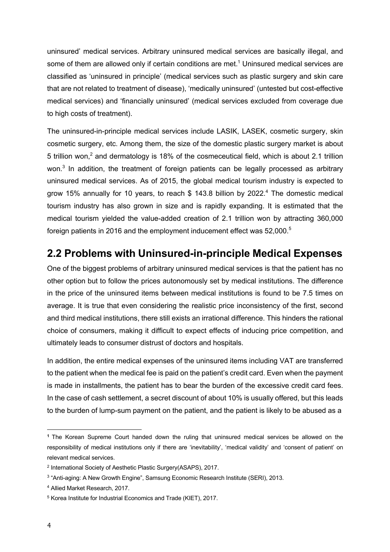uninsured' medical services. Arbitrary uninsured medical services are basically illegal, and some of them are allowed only if certain conditions are met.<sup>1</sup> Uninsured medical services are classified as 'uninsured in principle' (medical services such as plastic surgery and skin care that are not related to treatment of disease), 'medically uninsured' (untested but cost-effective medical services) and 'financially uninsured' (medical services excluded from coverage due to high costs of treatment).

The uninsured-in-principle medical services include LASIK, LASEK, cosmetic surgery, skin cosmetic surgery, etc. Among them, the size of the domestic plastic surgery market is about 5 trillion won,<sup>2</sup> and dermatology is 18% of the cosmeceutical field, which is about 2.1 trillion won. $3$  In addition, the treatment of foreign patients can be legally processed as arbitrary uninsured medical services. As of 2015, the global medical tourism industry is expected to grow 15% annually for 10 years, to reach \$ 143.8 billion by 2022.4 The domestic medical tourism industry has also grown in size and is rapidly expanding. It is estimated that the medical tourism yielded the value-added creation of 2.1 trillion won by attracting 360,000 foreign patients in 2016 and the employment inducement effect was 52,000.<sup>5</sup>

#### **2.2 Problems with Uninsured-in-principle Medical Expenses**

One of the biggest problems of arbitrary uninsured medical services is that the patient has no other option but to follow the prices autonomously set by medical institutions. The difference in the price of the uninsured items between medical institutions is found to be 7.5 times on average. It is true that even considering the realistic price inconsistency of the first, second and third medical institutions, there still exists an irrational difference. This hinders the rational choice of consumers, making it difficult to expect effects of inducing price competition, and ultimately leads to consumer distrust of doctors and hospitals.

In addition, the entire medical expenses of the uninsured items including VAT are transferred to the patient when the medical fee is paid on the patient's credit card. Even when the payment is made in installments, the patient has to bear the burden of the excessive credit card fees. In the case of cash settlement, a secret discount of about 10% is usually offered, but this leads to the burden of lump-sum payment on the patient, and the patient is likely to be abused as a

**<sup>1</sup>** The Korean Supreme Court handed down the ruling that uninsured medical services be allowed on the responsibility of medical institutions only if there are 'inevitability', 'medical validity' and 'consent of patient' on relevant medical services.

<sup>2</sup> International Society of Aesthetic Plastic Surgery(ASAPS), 2017.

<sup>3</sup> "Anti-aging: A New Growth Engine", Samsung Economic Research Institute (SERI), 2013.

<sup>4</sup> Allied Market Research, 2017.

<sup>5</sup> Korea Institute for Industrial Economics and Trade (KIET), 2017.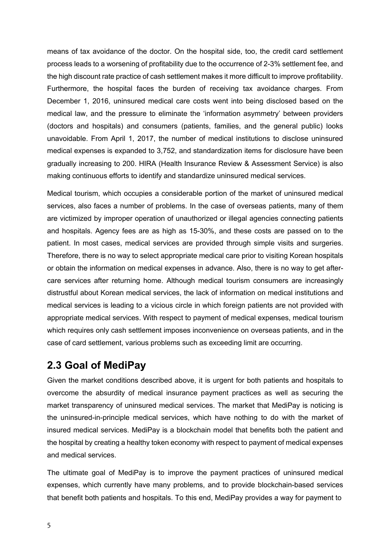means of tax avoidance of the doctor. On the hospital side, too, the credit card settlement process leads to a worsening of profitability due to the occurrence of 2-3% settlement fee, and the high discount rate practice of cash settlement makes it more difficult to improve profitability. Furthermore, the hospital faces the burden of receiving tax avoidance charges. From December 1, 2016, uninsured medical care costs went into being disclosed based on the medical law, and the pressure to eliminate the 'information asymmetry' between providers (doctors and hospitals) and consumers (patients, families, and the general public) looks unavoidable. From April 1, 2017, the number of medical institutions to disclose uninsured medical expenses is expanded to 3,752, and standardization items for disclosure have been gradually increasing to 200. HIRA (Health Insurance Review & Assessment Service) is also making continuous efforts to identify and standardize uninsured medical services.

Medical tourism, which occupies a considerable portion of the market of uninsured medical services, also faces a number of problems. In the case of overseas patients, many of them are victimized by improper operation of unauthorized or illegal agencies connecting patients and hospitals. Agency fees are as high as 15-30%, and these costs are passed on to the patient. In most cases, medical services are provided through simple visits and surgeries. Therefore, there is no way to select appropriate medical care prior to visiting Korean hospitals or obtain the information on medical expenses in advance. Also, there is no way to get aftercare services after returning home. Although medical tourism consumers are increasingly distrustful about Korean medical services, the lack of information on medical institutions and medical services is leading to a vicious circle in which foreign patients are not provided with appropriate medical services. With respect to payment of medical expenses, medical tourism which requires only cash settlement imposes inconvenience on overseas patients, and in the case of card settlement, various problems such as exceeding limit are occurring.

#### **2.3 Goal of MediPay**

Given the market conditions described above, it is urgent for both patients and hospitals to overcome the absurdity of medical insurance payment practices as well as securing the market transparency of uninsured medical services. The market that MediPay is noticing is the uninsured-in-principle medical services, which have nothing to do with the market of insured medical services. MediPay is a blockchain model that benefits both the patient and the hospital by creating a healthy token economy with respect to payment of medical expenses and medical services.

The ultimate goal of MediPay is to improve the payment practices of uninsured medical expenses, which currently have many problems, and to provide blockchain-based services that benefit both patients and hospitals. To this end, MediPay provides a way for payment to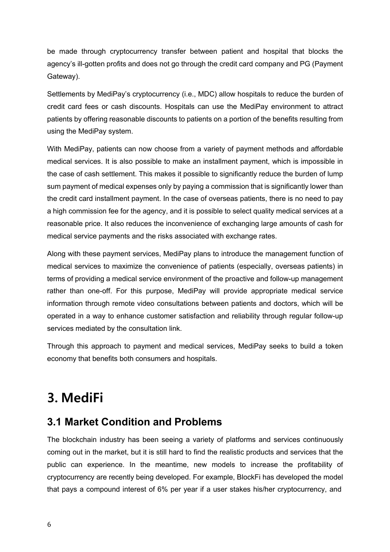be made through cryptocurrency transfer between patient and hospital that blocks the agency's ill-gotten profits and does not go through the credit card company and PG (Payment Gateway).

Settlements by MediPay's cryptocurrency (i.e., MDC) allow hospitals to reduce the burden of credit card fees or cash discounts. Hospitals can use the MediPay environment to attract patients by offering reasonable discounts to patients on a portion of the benefits resulting from using the MediPay system.

With MediPay, patients can now choose from a variety of payment methods and affordable medical services. It is also possible to make an installment payment, which is impossible in the case of cash settlement. This makes it possible to significantly reduce the burden of lump sum payment of medical expenses only by paying a commission that is significantly lower than the credit card installment payment. In the case of overseas patients, there is no need to pay a high commission fee for the agency, and it is possible to select quality medical services at a reasonable price. It also reduces the inconvenience of exchanging large amounts of cash for medical service payments and the risks associated with exchange rates.

Along with these payment services, MediPay plans to introduce the management function of medical services to maximize the convenience of patients (especially, overseas patients) in terms of providing a medical service environment of the proactive and follow-up management rather than one-off. For this purpose, MediPay will provide appropriate medical service information through remote video consultations between patients and doctors, which will be operated in a way to enhance customer satisfaction and reliability through regular follow-up services mediated by the consultation link.

Through this approach to payment and medical services, MediPay seeks to build a token economy that benefits both consumers and hospitals.

# **3. MediFi**

### **3.1 Market Condition and Problems**

The blockchain industry has been seeing a variety of platforms and services continuously coming out in the market, but it is still hard to find the realistic products and services that the public can experience. In the meantime, new models to increase the profitability of cryptocurrency are recently being developed. For example, BlockFi has developed the model that pays a compound interest of 6% per year if a user stakes his/her cryptocurrency, and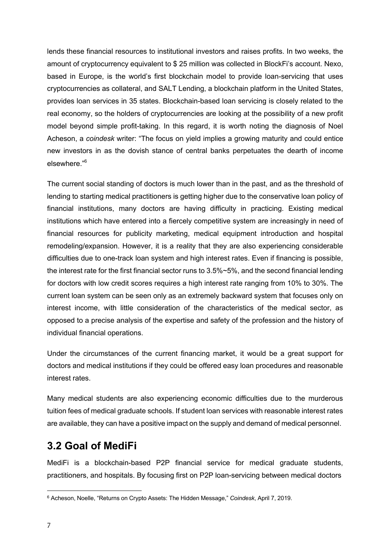lends these financial resources to institutional investors and raises profits. In two weeks, the amount of cryptocurrency equivalent to \$ 25 million was collected in BlockFi's account. Nexo, based in Europe, is the world's first blockchain model to provide loan-servicing that uses cryptocurrencies as collateral, and SALT Lending, a blockchain platform in the United States, provides loan services in 35 states. Blockchain-based loan servicing is closely related to the real economy, so the holders of cryptocurrencies are looking at the possibility of a new profit model beyond simple profit-taking. In this regard, it is worth noting the diagnosis of Noel Acheson, a *coindesk* writer: "The focus on yield implies a growing maturity and could entice new investors in as the dovish stance of central banks perpetuates the dearth of income elsewhere."6

The current social standing of doctors is much lower than in the past, and as the threshold of lending to starting medical practitioners is getting higher due to the conservative loan policy of financial institutions, many doctors are having difficulty in practicing. Existing medical institutions which have entered into a fiercely competitive system are increasingly in need of financial resources for publicity marketing, medical equipment introduction and hospital remodeling/expansion. However, it is a reality that they are also experiencing considerable difficulties due to one-track loan system and high interest rates. Even if financing is possible, the interest rate for the first financial sector runs to 3.5%~5%, and the second financial lending for doctors with low credit scores requires a high interest rate ranging from 10% to 30%. The current loan system can be seen only as an extremely backward system that focuses only on interest income, with little consideration of the characteristics of the medical sector, as opposed to a precise analysis of the expertise and safety of the profession and the history of individual financial operations.

Under the circumstances of the current financing market, it would be a great support for doctors and medical institutions if they could be offered easy loan procedures and reasonable interest rates.

Many medical students are also experiencing economic difficulties due to the murderous tuition fees of medical graduate schools. If student loan services with reasonable interest rates are available, they can have a positive impact on the supply and demand of medical personnel.

#### **3.2 Goal of MediFi**

MediFi is a blockchain-based P2P financial service for medical graduate students, practitioners, and hospitals. By focusing first on P2P loan-servicing between medical doctors

<sup>6</sup> Acheson, Noelle, "Returns on Crypto Assets: The Hidden Message," *Coindesk*, April 7, 2019.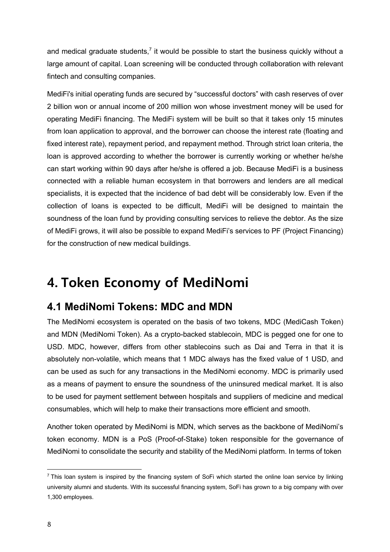and medical graduate students,<sup>7</sup> it would be possible to start the business quickly without a large amount of capital. Loan screening will be conducted through collaboration with relevant fintech and consulting companies.

MediFi's initial operating funds are secured by "successful doctors" with cash reserves of over 2 billion won or annual income of 200 million won whose investment money will be used for operating MediFi financing. The MediFi system will be built so that it takes only 15 minutes from loan application to approval, and the borrower can choose the interest rate (floating and fixed interest rate), repayment period, and repayment method. Through strict loan criteria, the loan is approved according to whether the borrower is currently working or whether he/she can start working within 90 days after he/she is offered a job. Because MediFi is a business connected with a reliable human ecosystem in that borrowers and lenders are all medical specialists, it is expected that the incidence of bad debt will be considerably low. Even if the collection of loans is expected to be difficult, MediFi will be designed to maintain the soundness of the loan fund by providing consulting services to relieve the debtor. As the size of MediFi grows, it will also be possible to expand MediFi's services to PF (Project Financing) for the construction of new medical buildings.

## **4. Token Economy of MediNomi**

### **4.1 MediNomi Tokens: MDC and MDN**

The MediNomi ecosystem is operated on the basis of two tokens, MDC (MediCash Token) and MDN (MediNomi Token). As a crypto-backed stablecoin, MDC is pegged one for one to USD. MDC, however, differs from other stablecoins such as Dai and Terra in that it is absolutely non-volatile, which means that 1 MDC always has the fixed value of 1 USD, and can be used as such for any transactions in the MediNomi economy. MDC is primarily used as a means of payment to ensure the soundness of the uninsured medical market. It is also to be used for payment settlement between hospitals and suppliers of medicine and medical consumables, which will help to make their transactions more efficient and smooth.

Another token operated by MediNomi is MDN, which serves as the backbone of MediNomi's token economy. MDN is a PoS (Proof-of-Stake) token responsible for the governance of MediNomi to consolidate the security and stability of the MediNomi platform. In terms of token

<sup>&</sup>lt;sup>7</sup> This loan system is inspired by the financing system of SoFi which started the online loan service by linking university alumni and students. With its successful financing system, SoFi has grown to a big company with over 1,300 employees.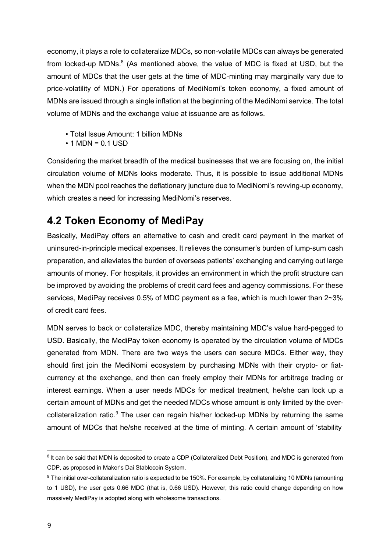economy, it plays a role to collateralize MDCs, so non-volatile MDCs can always be generated from locked-up MDNs. $<sup>8</sup>$  (As mentioned above, the value of MDC is fixed at USD, but the</sup> amount of MDCs that the user gets at the time of MDC-minting may marginally vary due to price-volatility of MDN.) For operations of MediNomi's token economy, a fixed amount of MDNs are issued through a single inflation at the beginning of the MediNomi service. The total volume of MDNs and the exchange value at issuance are as follows.

- Total Issue Amount: 1 billion MDNs
- $\cdot$  1 MDN = 0.1 USD

Considering the market breadth of the medical businesses that we are focusing on, the initial circulation volume of MDNs looks moderate. Thus, it is possible to issue additional MDNs when the MDN pool reaches the deflationary juncture due to MediNomi's revving-up economy, which creates a need for increasing MediNomi's reserves.

### **4.2 Token Economy of MediPay**

Basically, MediPay offers an alternative to cash and credit card payment in the market of uninsured-in-principle medical expenses. It relieves the consumer's burden of lump-sum cash preparation, and alleviates the burden of overseas patients' exchanging and carrying out large amounts of money. For hospitals, it provides an environment in which the profit structure can be improved by avoiding the problems of credit card fees and agency commissions. For these services, MediPay receives 0.5% of MDC payment as a fee, which is much lower than 2~3% of credit card fees.

MDN serves to back or collateralize MDC, thereby maintaining MDC's value hard-pegged to USD. Basically, the MediPay token economy is operated by the circulation volume of MDCs generated from MDN. There are two ways the users can secure MDCs. Either way, they should first join the MediNomi ecosystem by purchasing MDNs with their crypto- or fiatcurrency at the exchange, and then can freely employ their MDNs for arbitrage trading or interest earnings. When a user needs MDCs for medical treatment, he/she can lock up a certain amount of MDNs and get the needed MDCs whose amount is only limited by the overcollateralization ratio.<sup>9</sup> The user can regain his/her locked-up MDNs by returning the same amount of MDCs that he/she received at the time of minting. A certain amount of 'stability

<sup>&</sup>lt;sup>8</sup> It can be said that MDN is deposited to create a CDP (Collateralized Debt Position), and MDC is generated from CDP, as proposed in Maker's Dai Stablecoin System.

<sup>9</sup> The initial over-collateralization ratio is expected to be 150%. For example, by collateralizing 10 MDNs (amounting to 1 USD), the user gets 0.66 MDC (that is, 0.66 USD). However, this ratio could change depending on how massively MediPay is adopted along with wholesome transactions.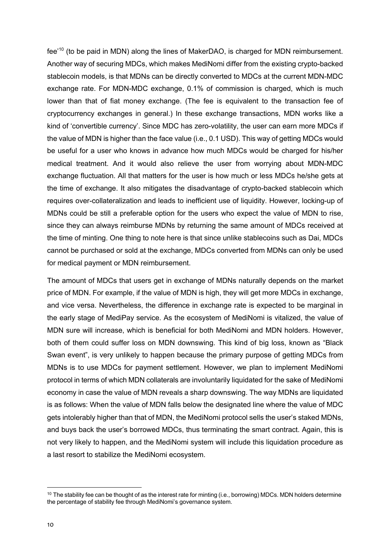fee'<sup>10</sup> (to be paid in MDN) along the lines of MakerDAO, is charged for MDN reimbursement. Another way of securing MDCs, which makes MediNomi differ from the existing crypto-backed stablecoin models, is that MDNs can be directly converted to MDCs at the current MDN-MDC exchange rate. For MDN-MDC exchange, 0.1% of commission is charged, which is much lower than that of fiat money exchange. (The fee is equivalent to the transaction fee of cryptocurrency exchanges in general.) In these exchange transactions, MDN works like a kind of 'convertible currency'. Since MDC has zero-volatility, the user can earn more MDCs if the value of MDN is higher than the face value (i.e., 0.1 USD). This way of getting MDCs would be useful for a user who knows in advance how much MDCs would be charged for his/her medical treatment. And it would also relieve the user from worrying about MDN-MDC exchange fluctuation. All that matters for the user is how much or less MDCs he/she gets at the time of exchange. It also mitigates the disadvantage of crypto-backed stablecoin which requires over-collateralization and leads to inefficient use of liquidity. However, locking-up of MDNs could be still a preferable option for the users who expect the value of MDN to rise, since they can always reimburse MDNs by returning the same amount of MDCs received at the time of minting. One thing to note here is that since unlike stablecoins such as Dai, MDCs cannot be purchased or sold at the exchange, MDCs converted from MDNs can only be used for medical payment or MDN reimbursement.

The amount of MDCs that users get in exchange of MDNs naturally depends on the market price of MDN. For example, if the value of MDN is high, they will get more MDCs in exchange, and vice versa. Nevertheless, the difference in exchange rate is expected to be marginal in the early stage of MediPay service. As the ecosystem of MediNomi is vitalized, the value of MDN sure will increase, which is beneficial for both MediNomi and MDN holders. However, both of them could suffer loss on MDN downswing. This kind of big loss, known as "Black Swan event", is very unlikely to happen because the primary purpose of getting MDCs from MDNs is to use MDCs for payment settlement. However, we plan to implement MediNomi protocol in terms of which MDN collaterals are involuntarily liquidated for the sake of MediNomi economy in case the value of MDN reveals a sharp downswing. The way MDNs are liquidated is as follows: When the value of MDN falls below the designated line where the value of MDC gets intolerably higher than that of MDN, the MediNomi protocol sells the user's staked MDNs, and buys back the user's borrowed MDCs, thus terminating the smart contract. Again, this is not very likely to happen, and the MediNomi system will include this liquidation procedure as a last resort to stabilize the MediNomi ecosystem.

 $10$  The stability fee can be thought of as the interest rate for minting (i.e., borrowing) MDCs. MDN holders determine the percentage of stability fee through MediNomi's governance system.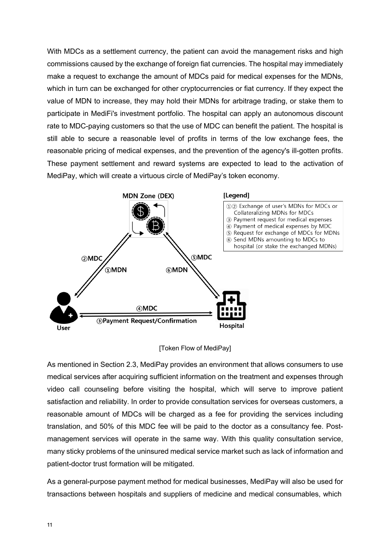With MDCs as a settlement currency, the patient can avoid the management risks and high commissions caused by the exchange of foreign fiat currencies. The hospital may immediately make a request to exchange the amount of MDCs paid for medical expenses for the MDNs, which in turn can be exchanged for other cryptocurrencies or fiat currency. If they expect the value of MDN to increase, they may hold their MDNs for arbitrage trading, or stake them to participate in MediFi's investment portfolio. The hospital can apply an autonomous discount rate to MDC-paying customers so that the use of MDC can benefit the patient. The hospital is still able to secure a reasonable level of profits in terms of the low exchange fees, the reasonable pricing of medical expenses, and the prevention of the agency's ill-gotten profits. These payment settlement and reward systems are expected to lead to the activation of MediPay, which will create a virtuous circle of MediPay's token economy.



[Token Flow of MediPay]

As mentioned in Section 2.3, MediPay provides an environment that allows consumers to use medical services after acquiring sufficient information on the treatment and expenses through video call counseling before visiting the hospital, which will serve to improve patient satisfaction and reliability. In order to provide consultation services for overseas customers, a reasonable amount of MDCs will be charged as a fee for providing the services including translation, and 50% of this MDC fee will be paid to the doctor as a consultancy fee. Postmanagement services will operate in the same way. With this quality consultation service, many sticky problems of the uninsured medical service market such as lack of information and patient-doctor trust formation will be mitigated.

As a general-purpose payment method for medical businesses, MediPay will also be used for transactions between hospitals and suppliers of medicine and medical consumables, which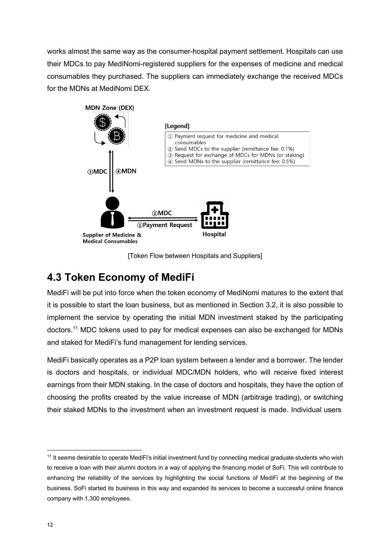works almost the same way as the consumer-hospital payment settlement. Hospitals can use their MDCs to pay MediNomi-registered suppliers for the expenses of medicine and medical consumables they purchased. The suppliers can immediately exchange the received MDCs for the MDNs at MediNomi DEX.



[Token Flow between Hospitals and Suppliers]

#### **4.3 Token Economy of MediFi**

MediFi will be put into force when the token economy of MediNomi matures to the extent that it is possible to start the loan business, but as mentioned in Section 3.2, it is also possible to implement the service by operating the initial MDN investment staked by the participating doctors.11 MDC tokens used to pay for medical expenses can also be exchanged for MDNs and staked for MediFi's fund management for lending services.

MediFi basically operates as a P2P loan system between a lender and a borrower. The lender is doctors and hospitals, or individual MDC/MDN holders, who will receive fixed interest earnings from their MDN staking. In the case of doctors and hospitals, they have the option of choosing the profits created by the value increase of MDN (arbitrage trading), or switching their staked MDNs to the investment when an investment request is made. Individual users

<sup>&</sup>lt;sup>11</sup> It seems desirable to operate MediFi's initial investment fund by connecting medical graduate students who wish to receive a loan with their alumni doctors in a way of applying the financing model of SoFi. This will contribute to enhancing the reliability of the services by highlighting the social functions of MediFi at the beginning of the business. SoFi started its business in this way and expanded its services to become a successful online finance company with 1,300 employees.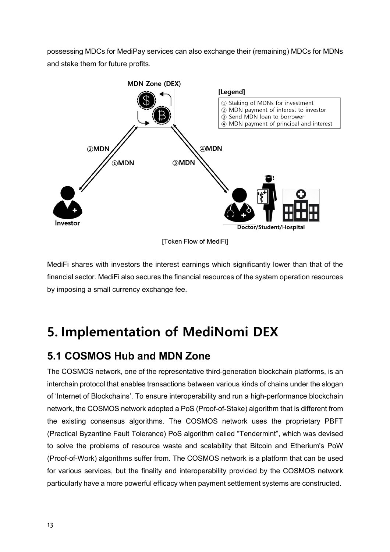possessing MDCs for MediPay services can also exchange their (remaining) MDCs for MDNs and stake them for future profits.



MediFi shares with investors the interest earnings which significantly lower than that of the financial sector. MediFi also secures the financial resources of the system operation resources by imposing a small currency exchange fee.

# **5. Implementation of MediNomi DEX**

### **5.1 COSMOS Hub and MDN Zone**

The COSMOS network, one of the representative third-generation blockchain platforms, is an interchain protocol that enables transactions between various kinds of chains under the slogan of 'Internet of Blockchains'. To ensure interoperability and run a high-performance blockchain network, the COSMOS network adopted a PoS (Proof-of-Stake) algorithm that is different from the existing consensus algorithms. The COSMOS network uses the proprietary PBFT (Practical Byzantine Fault Tolerance) PoS algorithm called "Tendermint", which was devised to solve the problems of resource waste and scalability that Bitcoin and Etherium's PoW (Proof-of-Work) algorithms suffer from. The COSMOS network is a platform that can be used for various services, but the finality and interoperability provided by the COSMOS network particularly have a more powerful efficacy when payment settlement systems are constructed.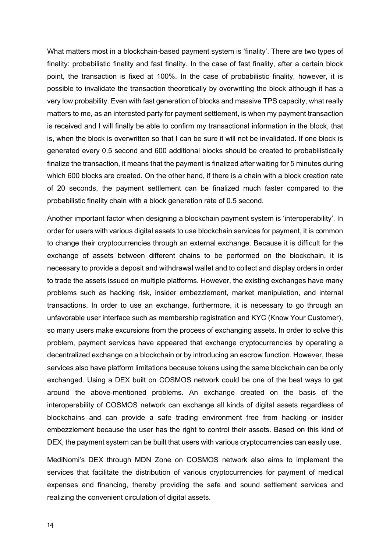What matters most in a blockchain-based payment system is 'finality'. There are two types of finality: probabilistic finality and fast finality. In the case of fast finality, after a certain block point, the transaction is fixed at 100%. In the case of probabilistic finality, however, it is possible to invalidate the transaction theoretically by overwriting the block although it has a very low probability. Even with fast generation of blocks and massive TPS capacity, what really matters to me, as an interested party for payment settlement, is when my payment transaction is received and I will finally be able to confirm my transactional information in the block, that is, when the block is overwritten so that I can be sure it will not be invalidated. If one block is generated every 0.5 second and 600 additional blocks should be created to probabilistically finalize the transaction, it means that the payment is finalized after waiting for 5 minutes during which 600 blocks are created. On the other hand, if there is a chain with a block creation rate of 20 seconds, the payment settlement can be finalized much faster compared to the probabilistic finality chain with a block generation rate of 0.5 second.

Another important factor when designing a blockchain payment system is 'interoperability'. In order for users with various digital assets to use blockchain services for payment, it is common to change their cryptocurrencies through an external exchange. Because it is difficult for the exchange of assets between different chains to be performed on the blockchain, it is necessary to provide a deposit and withdrawal wallet and to collect and display orders in order to trade the assets issued on multiple platforms. However, the existing exchanges have many problems such as hacking risk, insider embezzlement, market manipulation, and internal transactions. In order to use an exchange, furthermore, it is necessary to go through an unfavorable user interface such as membership registration and KYC (Know Your Customer), so many users make excursions from the process of exchanging assets. In order to solve this problem, payment services have appeared that exchange cryptocurrencies by operating a decentralized exchange on a blockchain or by introducing an escrow function. However, these services also have platform limitations because tokens using the same blockchain can be only exchanged. Using a DEX built on COSMOS network could be one of the best ways to get around the above-mentioned problems. An exchange created on the basis of the interoperability of COSMOS network can exchange all kinds of digital assets regardless of blockchains and can provide a safe trading environment free from hacking or insider embezzlement because the user has the right to control their assets. Based on this kind of DEX, the payment system can be built that users with various cryptocurrencies can easily use.

MediNomi's DEX through MDN Zone on COSMOS network also aims to implement the services that facilitate the distribution of various cryptocurrencies for payment of medical expenses and financing, thereby providing the safe and sound settlement services and realizing the convenient circulation of digital assets.

14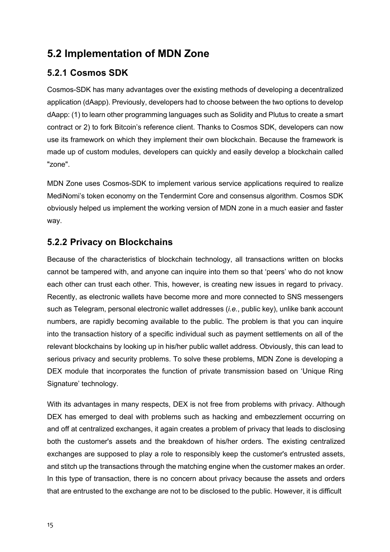### **5.2 Implementation of MDN Zone**

#### **5.2.1 Cosmos SDK**

Cosmos-SDK has many advantages over the existing methods of developing a decentralized application (dAapp). Previously, developers had to choose between the two options to develop dAapp: (1) to learn other programming languages such as Solidity and Plutus to create a smart contract or 2) to fork Bitcoin's reference client. Thanks to Cosmos SDK, developers can now use its framework on which they implement their own blockchain. Because the framework is made up of custom modules, developers can quickly and easily develop a blockchain called "zone".

MDN Zone uses Cosmos-SDK to implement various service applications required to realize MediNomi's token economy on the Tendermint Core and consensus algorithm. Cosmos SDK obviously helped us implement the working version of MDN zone in a much easier and faster way.

#### **5.2.2 Privacy on Blockchains**

Because of the characteristics of blockchain technology, all transactions written on blocks cannot be tampered with, and anyone can inquire into them so that 'peers' who do not know each other can trust each other. This, however, is creating new issues in regard to privacy. Recently, as electronic wallets have become more and more connected to SNS messengers such as Telegram, personal electronic wallet addresses (*i.e.*, public key), unlike bank account numbers, are rapidly becoming available to the public. The problem is that you can inquire into the transaction history of a specific individual such as payment settlements on all of the relevant blockchains by looking up in his/her public wallet address. Obviously, this can lead to serious privacy and security problems. To solve these problems, MDN Zone is developing a DEX module that incorporates the function of private transmission based on 'Unique Ring Signature' technology.

With its advantages in many respects, DEX is not free from problems with privacy. Although DEX has emerged to deal with problems such as hacking and embezzlement occurring on and off at centralized exchanges, it again creates a problem of privacy that leads to disclosing both the customer's assets and the breakdown of his/her orders. The existing centralized exchanges are supposed to play a role to responsibly keep the customer's entrusted assets, and stitch up the transactions through the matching engine when the customer makes an order. In this type of transaction, there is no concern about privacy because the assets and orders that are entrusted to the exchange are not to be disclosed to the public. However, it is difficult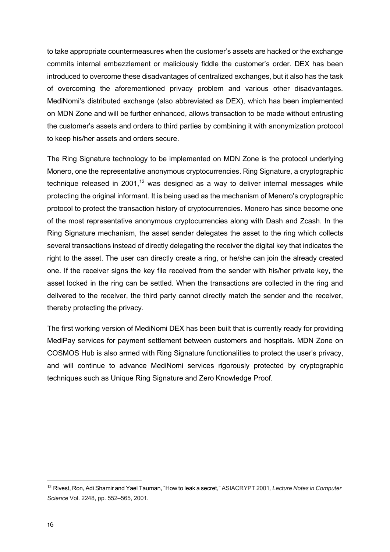to take appropriate countermeasures when the customer's assets are hacked or the exchange commits internal embezzlement or maliciously fiddle the customer's order. DEX has been introduced to overcome these disadvantages of centralized exchanges, but it also has the task of overcoming the aforementioned privacy problem and various other disadvantages. MediNomi's distributed exchange (also abbreviated as DEX), which has been implemented on MDN Zone and will be further enhanced, allows transaction to be made without entrusting the customer's assets and orders to third parties by combining it with anonymization protocol to keep his/her assets and orders secure.

The Ring Signature technology to be implemented on MDN Zone is the protocol underlying Monero, one the representative anonymous cryptocurrencies. Ring Signature, a cryptographic technique released in 2001, $12$  was designed as a way to deliver internal messages while protecting the original informant. It is being used as the mechanism of Menero's cryptographic protocol to protect the transaction history of cryptocurrencies. Monero has since become one of the most representative anonymous cryptocurrencies along with Dash and Zcash. In the Ring Signature mechanism, the asset sender delegates the asset to the ring which collects several transactions instead of directly delegating the receiver the digital key that indicates the right to the asset. The user can directly create a ring, or he/she can join the already created one. If the receiver signs the key file received from the sender with his/her private key, the asset locked in the ring can be settled. When the transactions are collected in the ring and delivered to the receiver, the third party cannot directly match the sender and the receiver, thereby protecting the privacy.

The first working version of MediNomi DEX has been built that is currently ready for providing MediPay services for payment settlement between customers and hospitals. MDN Zone on COSMOS Hub is also armed with Ring Signature functionalities to protect the user's privacy, and will continue to advance MediNomi services rigorously protected by cryptographic techniques such as Unique Ring Signature and Zero Knowledge Proof.

<sup>12</sup> Rivest, Ron, Adi Shamir and Yael Tauman, "How to leak a secret," ASIACRYPT 2001*, Lecture Notes in Computer Science* Vol. 2248, pp. 552–565, 2001.